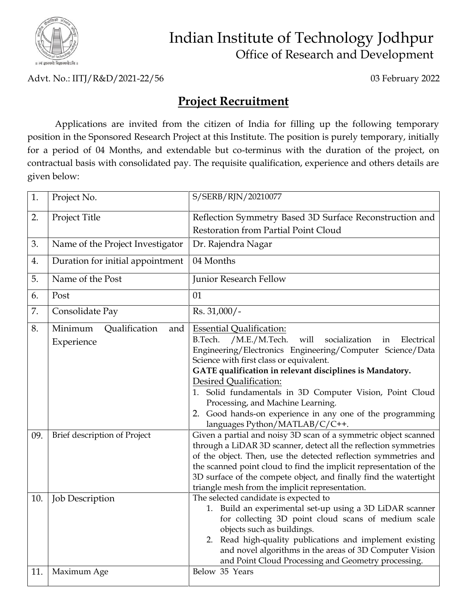

## Indian Institute of Technology Jodhpur Office of Research and Development

Advt. No.: IITJ/R&D/2021-22/56 03 February 2022

## **Project Recruitment**

Applications are invited from the citizen of India for filling up the following temporary position in the Sponsored Research Project at this Institute. The position is purely temporary, initially for a period of 04 Months, and extendable but co-terminus with the duration of the project, on contractual basis with consolidated pay. The requisite qualification, experience and others details are given below:

| 1.  | Project No.                                   | S/SERB/RJN/20210077                                                                                                                                                                                                                                                                                                                                                                                                                                                                                    |
|-----|-----------------------------------------------|--------------------------------------------------------------------------------------------------------------------------------------------------------------------------------------------------------------------------------------------------------------------------------------------------------------------------------------------------------------------------------------------------------------------------------------------------------------------------------------------------------|
| 2.  | Project Title                                 | Reflection Symmetry Based 3D Surface Reconstruction and                                                                                                                                                                                                                                                                                                                                                                                                                                                |
|     |                                               | Restoration from Partial Point Cloud                                                                                                                                                                                                                                                                                                                                                                                                                                                                   |
| 3.  | Name of the Project Investigator              | Dr. Rajendra Nagar                                                                                                                                                                                                                                                                                                                                                                                                                                                                                     |
| 4.  | Duration for initial appointment              | 04 Months                                                                                                                                                                                                                                                                                                                                                                                                                                                                                              |
| 5.  | Name of the Post                              | Junior Research Fellow                                                                                                                                                                                                                                                                                                                                                                                                                                                                                 |
| 6.  | Post                                          | 01                                                                                                                                                                                                                                                                                                                                                                                                                                                                                                     |
| 7.  | Consolidate Pay                               | Rs. 31,000/-                                                                                                                                                                                                                                                                                                                                                                                                                                                                                           |
| 8.  | Minimum<br>Qualification<br>and<br>Experience | <b>Essential Qualification:</b><br>B.Tech.<br>/M.E./M.Tech.<br>will<br>socialization<br>Electrical<br>in<br>Engineering/Electronics Engineering/Computer Science/Data<br>Science with first class or equivalent.<br>GATE qualification in relevant disciplines is Mandatory.<br>Desired Qualification:<br>1. Solid fundamentals in 3D Computer Vision, Point Cloud<br>Processing, and Machine Learning.<br>2. Good hands-on experience in any one of the programming<br>languages Python/MATLAB/C/C++. |
| 09. | Brief description of Project                  | Given a partial and noisy 3D scan of a symmetric object scanned<br>through a LiDAR 3D scanner, detect all the reflection symmetries<br>of the object. Then, use the detected reflection symmetries and<br>the scanned point cloud to find the implicit representation of the<br>3D surface of the compete object, and finally find the watertight<br>triangle mesh from the implicit representation.                                                                                                   |
| 10. | <b>Job Description</b>                        | The selected candidate is expected to<br>1. Build an experimental set-up using a 3D LiDAR scanner<br>for collecting 3D point cloud scans of medium scale<br>objects such as buildings.<br>2. Read high-quality publications and implement existing<br>and novel algorithms in the areas of 3D Computer Vision<br>and Point Cloud Processing and Geometry processing.                                                                                                                                   |
| 11. | Maximum Age                                   | Below 35 Years                                                                                                                                                                                                                                                                                                                                                                                                                                                                                         |